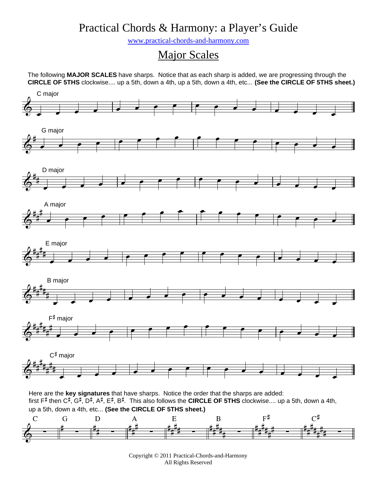## Practical Chords & Harmony: a Player's Guide

www.practical-chords-and-harmony.com

## Major Scales

The following **MAJOR SCALES** have sharps. Notice that as each sharp is added, we are progressing through the **CIRCLE OF 5THS** clockwise.... up a 5th, down a 4th, up a 5th, down a 4th, etc... **(See the CIRCLE OF 5THS sheet.)**



Copyright © 2011 Practical-Chords-and-Harmony All Rights Reserved